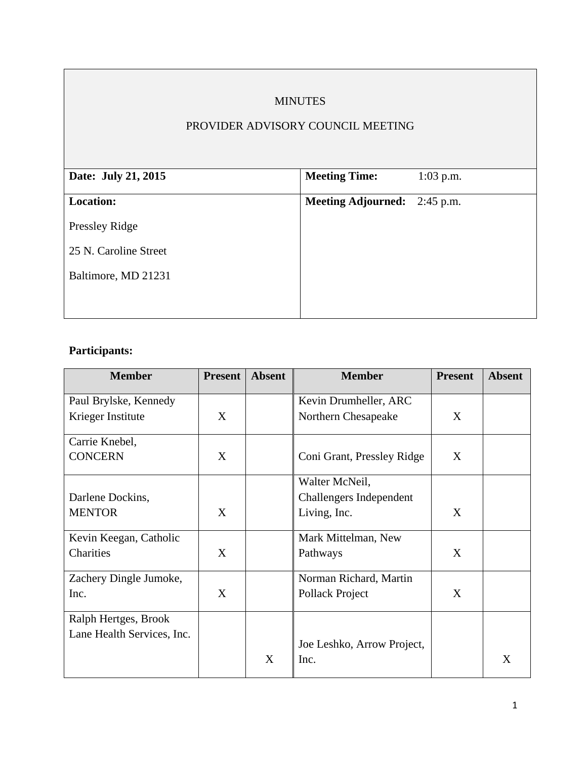# MINUTES

## PROVIDER ADVISORY COUNCIL MEETING

| Date: July 21, 2015   | <b>Meeting Time:</b>                | $1:03$ p.m. |
|-----------------------|-------------------------------------|-------------|
| <b>Location:</b>      | <b>Meeting Adjourned:</b> 2:45 p.m. |             |
| Pressley Ridge        |                                     |             |
| 25 N. Caroline Street |                                     |             |
| Baltimore, MD 21231   |                                     |             |
|                       |                                     |             |
|                       |                                     |             |

# **Participants:**

| <b>Member</b>              | <b>Present</b> | <b>Absent</b> | <b>Member</b>                  | <b>Present</b> | <b>Absent</b> |
|----------------------------|----------------|---------------|--------------------------------|----------------|---------------|
| Paul Brylske, Kennedy      |                |               | Kevin Drumheller, ARC          |                |               |
| Krieger Institute          | X              |               | Northern Chesapeake            | X              |               |
| Carrie Knebel,             |                |               |                                |                |               |
| <b>CONCERN</b>             | X              |               | Coni Grant, Pressley Ridge     | X              |               |
|                            |                |               | Walter McNeil,                 |                |               |
| Darlene Dockins,           |                |               | <b>Challengers Independent</b> |                |               |
| <b>MENTOR</b>              | X              |               | Living, Inc.                   | X              |               |
| Kevin Keegan, Catholic     |                |               | Mark Mittelman, New            |                |               |
| Charities                  | X              |               | Pathways                       | X              |               |
| Zachery Dingle Jumoke,     |                |               | Norman Richard, Martin         |                |               |
| Inc.                       | X              |               | Pollack Project                | X              |               |
| Ralph Hertges, Brook       |                |               |                                |                |               |
| Lane Health Services, Inc. |                |               | Joe Leshko, Arrow Project,     |                |               |
|                            |                | X             | Inc.                           |                | X             |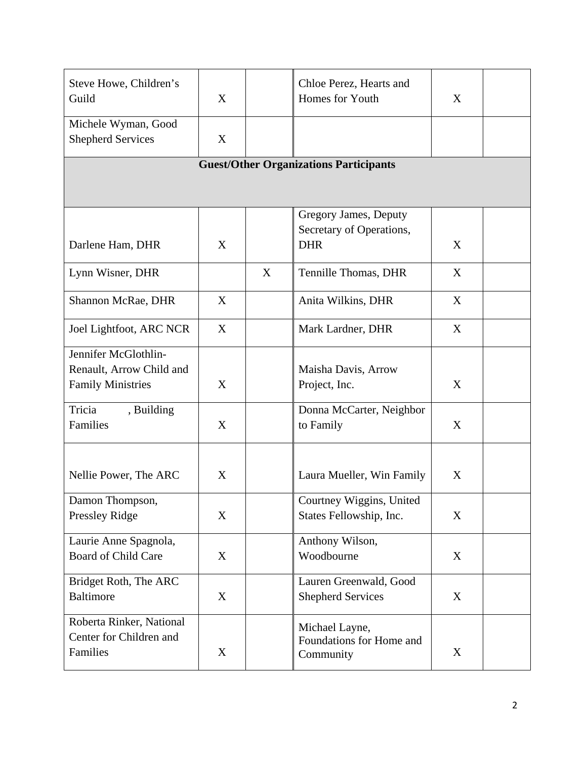| Steve Howe, Children's<br>Guild<br>Michele Wyman, Good | Chloe Perez, Hearts and<br>Homes for Youth<br>X |   | X                         |   |  |
|--------------------------------------------------------|-------------------------------------------------|---|---------------------------|---|--|
| <b>Shepherd Services</b>                               | X                                               |   |                           |   |  |
| <b>Guest/Other Organizations Participants</b>          |                                                 |   |                           |   |  |
|                                                        |                                                 |   |                           |   |  |
|                                                        |                                                 |   | Gregory James, Deputy     |   |  |
|                                                        |                                                 |   | Secretary of Operations,  |   |  |
| Darlene Ham, DHR                                       | X                                               |   | <b>DHR</b>                | X |  |
| Lynn Wisner, DHR                                       |                                                 | X | Tennille Thomas, DHR      | X |  |
| Shannon McRae, DHR                                     | X                                               |   | Anita Wilkins, DHR        | X |  |
| Joel Lightfoot, ARC NCR                                | X                                               |   | Mark Lardner, DHR         | X |  |
| Jennifer McGlothlin-                                   |                                                 |   |                           |   |  |
| Renault, Arrow Child and                               |                                                 |   | Maisha Davis, Arrow       |   |  |
| <b>Family Ministries</b>                               | X                                               |   | Project, Inc.             | X |  |
| Tricia<br>, Building                                   |                                                 |   | Donna McCarter, Neighbor  |   |  |
| Families                                               | X                                               |   | to Family                 | X |  |
|                                                        |                                                 |   |                           |   |  |
| Nellie Power, The ARC                                  | X                                               |   | Laura Mueller, Win Family | X |  |
| Damon Thompson,                                        |                                                 |   | Courtney Wiggins, United  |   |  |
| Pressley Ridge                                         | X                                               |   | States Fellowship, Inc.   | X |  |
| Laurie Anne Spagnola,                                  |                                                 |   | Anthony Wilson,           |   |  |
| <b>Board of Child Care</b>                             | X                                               |   | Woodbourne                | X |  |
| Bridget Roth, The ARC                                  |                                                 |   | Lauren Greenwald, Good    |   |  |
| <b>Baltimore</b>                                       | X                                               |   | <b>Shepherd Services</b>  | X |  |
| Roberta Rinker, National                               |                                                 |   | Michael Layne,            |   |  |
| Center for Children and                                |                                                 |   | Foundations for Home and  |   |  |
| Families                                               | $\mathbf X$                                     |   | Community                 | X |  |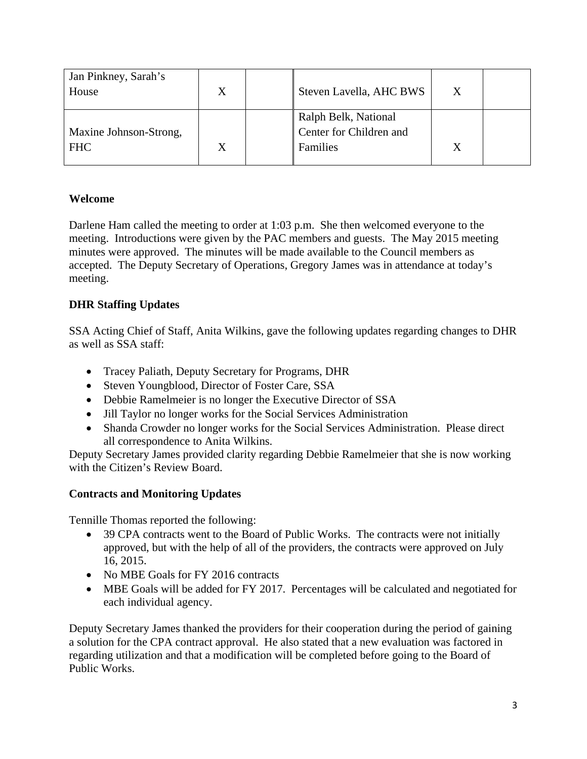| Jan Pinkney, Sarah's<br>House        | X | Steven Lavella, AHC BWS                                     |  |
|--------------------------------------|---|-------------------------------------------------------------|--|
| Maxine Johnson-Strong,<br><b>FHC</b> |   | Ralph Belk, National<br>Center for Children and<br>Families |  |

# **Welcome**

Darlene Ham called the meeting to order at 1:03 p.m. She then welcomed everyone to the meeting. Introductions were given by the PAC members and guests. The May 2015 meeting minutes were approved. The minutes will be made available to the Council members as accepted. The Deputy Secretary of Operations, Gregory James was in attendance at today's meeting.

# **DHR Staffing Updates**

SSA Acting Chief of Staff, Anita Wilkins, gave the following updates regarding changes to DHR as well as SSA staff:

- Tracey Paliath, Deputy Secretary for Programs, DHR
- Steven Youngblood, Director of Foster Care, SSA
- Debbie Ramelmeier is no longer the Executive Director of SSA
- Jill Taylor no longer works for the Social Services Administration
- Shanda Crowder no longer works for the Social Services Administration. Please direct all correspondence to Anita Wilkins.

Deputy Secretary James provided clarity regarding Debbie Ramelmeier that she is now working with the Citizen's Review Board.

# **Contracts and Monitoring Updates**

Tennille Thomas reported the following:

- 39 CPA contracts went to the Board of Public Works. The contracts were not initially approved, but with the help of all of the providers, the contracts were approved on July 16, 2015.
- No MBE Goals for FY 2016 contracts
- MBE Goals will be added for FY 2017. Percentages will be calculated and negotiated for each individual agency.

Deputy Secretary James thanked the providers for their cooperation during the period of gaining a solution for the CPA contract approval. He also stated that a new evaluation was factored in regarding utilization and that a modification will be completed before going to the Board of Public Works.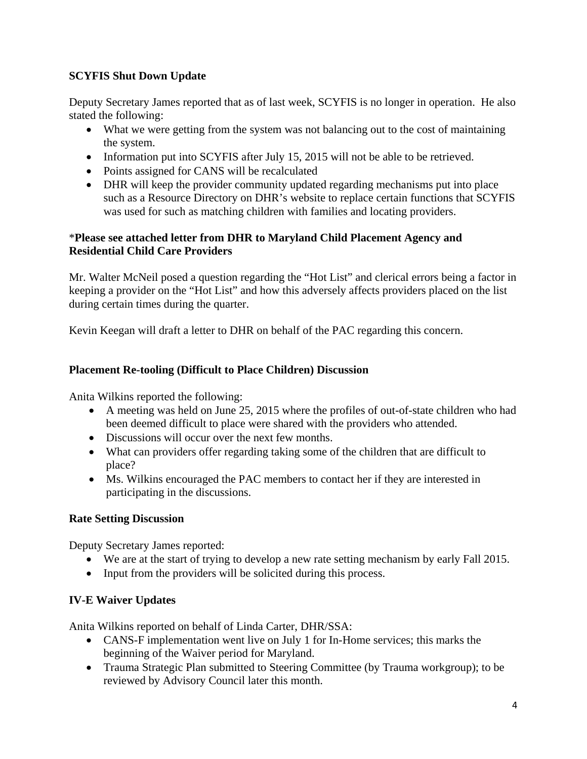## **SCYFIS Shut Down Update**

Deputy Secretary James reported that as of last week, SCYFIS is no longer in operation. He also stated the following:

- What we were getting from the system was not balancing out to the cost of maintaining the system.
- Information put into SCYFIS after July 15, 2015 will not be able to be retrieved.
- Points assigned for CANS will be recalculated
- DHR will keep the provider community updated regarding mechanisms put into place such as a Resource Directory on DHR's website to replace certain functions that SCYFIS was used for such as matching children with families and locating providers.

## \***Please see attached letter from DHR to Maryland Child Placement Agency and Residential Child Care Providers**

Mr. Walter McNeil posed a question regarding the "Hot List" and clerical errors being a factor in keeping a provider on the "Hot List" and how this adversely affects providers placed on the list during certain times during the quarter.

Kevin Keegan will draft a letter to DHR on behalf of the PAC regarding this concern.

#### **Placement Re-tooling (Difficult to Place Children) Discussion**

Anita Wilkins reported the following:

- A meeting was held on June 25, 2015 where the profiles of out-of-state children who had been deemed difficult to place were shared with the providers who attended.
- Discussions will occur over the next few months.
- What can providers offer regarding taking some of the children that are difficult to place?
- Ms. Wilkins encouraged the PAC members to contact her if they are interested in participating in the discussions.

#### **Rate Setting Discussion**

Deputy Secretary James reported:

- We are at the start of trying to develop a new rate setting mechanism by early Fall 2015.
- Input from the providers will be solicited during this process.

## **IV-E Waiver Updates**

Anita Wilkins reported on behalf of Linda Carter, DHR/SSA:

- CANS-F implementation went live on July 1 for In-Home services; this marks the beginning of the Waiver period for Maryland.
- Trauma Strategic Plan submitted to Steering Committee (by Trauma workgroup); to be reviewed by Advisory Council later this month.